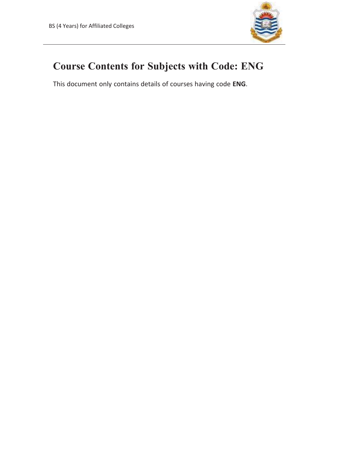

## **Course Contents for Subjects with Code: ENG**

This document only contains details of courses having code **ENG**.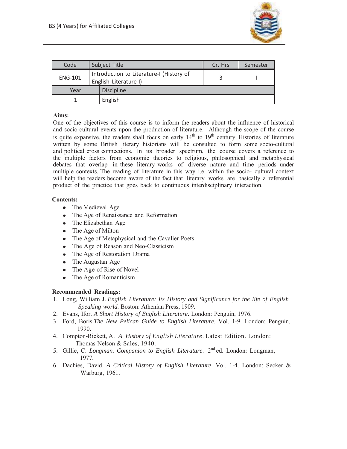

| Code           | Subject Title                                                     | Cr. Hrs | Semester |
|----------------|-------------------------------------------------------------------|---------|----------|
| <b>ENG-101</b> | Introduction to Literature-I (History of<br>English Literature-I) |         |          |
| Year           | <b>Discipline</b>                                                 |         |          |
|                | English                                                           |         |          |

## **Aims:**

One of the objectives of this course is to inform the readers about the influence of historical and socio-cultural events upon the production of literature. Although the scope of the course is quite expansive, the readers shall focus on early  $14<sup>th</sup>$  to  $19<sup>th</sup>$  century. Histories of literature written by some British literary historians will be consulted to form some socio-cultural and political cross connections. In its broader spectrum, the course covers a reference to the multiple factors from economic theories to religious, philosophical and metaphysical debates that overlap in these literary works of diverse nature and time periods under multiple contexts. The reading of literature in this way i.e. within the socio- cultural context will help the readers become aware of the fact that literary works are basically a referential product of the practice that goes back to continuous interdisciplinary interaction.

## **Contents:**

- The Medieval Age
- The Age of Renaissance and Reformation
- The Elizabethan Age
- The Age of Milton
- The Age of Metaphysical and the Cavalier Poets
- The Age of Reason and Neo-Classicism
- The Age of Restoration Drama
- The Augustan Age
- The Age of Rise of Novel
- The Age of Romanticism

## **Recommended Readings:**

- 1. Long, William J. *English Literature: Its History and Significance for the life of English Speaking world.* Boston: Athenian Press, 1909.
- 2. Evans, Ifor. *A Short History of English Literature*. London: Penguin, 1976.
- 3. Ford, Boris.*The New Pelican Guide to English Literature*. Vol. 1-9. London: Penguin, 1990.
- 4. Compton-Rickett, A. *A History of English Literature*. Latest Edition. London: Thomas-Nelson & Sales, 1940.
- 5. Gillie, C. *Longman. Companion to English Literature*. 2<sup>nd</sup> ed. London: Longman, 1977.
- 6. Dachies, David. *A Critical History of English Literature*. Vol. 1-4. London: Secker & Warburg, 1961.